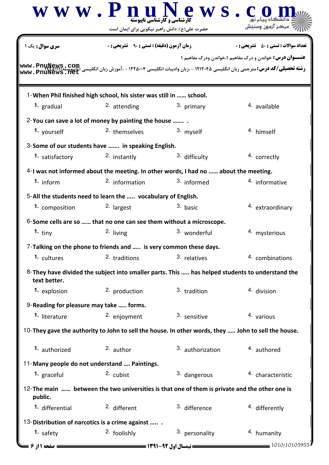|                                                                                                          | $\bf W \;\bf W \;\bf W$ . $\bf P \;\bf n$ ارشناسی و کار شناسی ناپیوسته                              | ews.                                                                                                         |                                                                 |  |  |
|----------------------------------------------------------------------------------------------------------|-----------------------------------------------------------------------------------------------------|--------------------------------------------------------------------------------------------------------------|-----------------------------------------------------------------|--|--|
| <b>سری سوال :</b> یک ۱                                                                                   | حضرت علی(ع): دانش راهبر نیکویی برای ایمان است<br><b>زمان آزمون (دقیقه) : تستی : 90 ٪ تشریحی : 0</b> |                                                                                                              | <b>تعداد سوالات : تستي : 50 ٪ تشريحي : 0</b>                    |  |  |
|                                                                                                          |                                                                                                     | <b>رشته تحصیلی/کد درس:</b> مترجمی زبان انگلیسی ۱۲۱۲۰۴۵ - ،زبان وادبیات انگلیسی ۱۲۲۵۰۰۴ - ،آموزش زبان انگلیسی | <b>عنـــوان درس:</b> خواندن و درک مفاهیم ۱،خواندن ودرک مفاهیم ۱ |  |  |
|                                                                                                          | 1-When Phil finished high school, his sister was still in  school.                                  |                                                                                                              |                                                                 |  |  |
| 1. gradual                                                                                               | 2. attending                                                                                        | 3. primary                                                                                                   | 4. available                                                    |  |  |
|                                                                                                          | 2-You can save a lot of money by painting the house                                                 |                                                                                                              |                                                                 |  |  |
| 1. yourself                                                                                              | <sup>2.</sup> themselves                                                                            | 3. myself                                                                                                    | 4. himself                                                      |  |  |
|                                                                                                          | 3-Some of our students have  in speaking English.                                                   |                                                                                                              |                                                                 |  |  |
| 1. satisfactory                                                                                          | 2. instantly                                                                                        | 3. difficulty                                                                                                | 4. correctly                                                    |  |  |
|                                                                                                          |                                                                                                     | 4-I was not informed about the meeting. In other words, I had no  about the meeting.                         |                                                                 |  |  |
| $1.$ inform                                                                                              | $2.$ information                                                                                    | 3. informed                                                                                                  | 4. informative                                                  |  |  |
|                                                                                                          | 5-All the students need to learn the  vocabulary of English.                                        |                                                                                                              |                                                                 |  |  |
| 1. composition                                                                                           | <sup>2.</sup> largest                                                                               | 3. basic                                                                                                     | 4. extraordinary                                                |  |  |
|                                                                                                          | 6-Some cells are so  that no one can see them without a microscope.                                 |                                                                                                              |                                                                 |  |  |
| 1. $tiny$                                                                                                | 2. living                                                                                           | 3. wonderful                                                                                                 | 4. mysterious                                                   |  |  |
|                                                                                                          |                                                                                                     |                                                                                                              |                                                                 |  |  |
| 1. cultures                                                                                              | $7$ -Talking on the phone to friends and  is very common these days.<br>2. traditions               | 3. relatives                                                                                                 | 4. combinations                                                 |  |  |
| text better.                                                                                             |                                                                                                     | 8- They have divided the subject into smaller parts. This  has helped students to understand the             |                                                                 |  |  |
| 1. explosion                                                                                             | 2. production                                                                                       | 3. tradition                                                                                                 | 4. division                                                     |  |  |
| 9-Reading for pleasure may take  forms.                                                                  |                                                                                                     |                                                                                                              |                                                                 |  |  |
| 1. literature                                                                                            | 2. enjoyment                                                                                        | 3. sensitive                                                                                                 | 4. various                                                      |  |  |
|                                                                                                          |                                                                                                     |                                                                                                              |                                                                 |  |  |
|                                                                                                          |                                                                                                     | 10-They gave the authority to John to sell the house. In other words, they  John to sell the house.          |                                                                 |  |  |
| 1. authorized                                                                                            | 2. author                                                                                           | 3. authorization                                                                                             | <sup>4</sup> authored                                           |  |  |
| 11-Many people do not understand  Paintings.                                                             |                                                                                                     |                                                                                                              |                                                                 |  |  |
| 1. graceful                                                                                              | 2. cubist                                                                                           | 3. dangerous                                                                                                 | 4. characteristic                                               |  |  |
| 12-The main  between the two universities is that one of them is private and the other one is<br>public. |                                                                                                     |                                                                                                              |                                                                 |  |  |
| 1. differential                                                                                          | 2. different                                                                                        | 3. difference                                                                                                | 4. differently                                                  |  |  |
| 13-Distribution of narcotics is a crime against                                                          |                                                                                                     |                                                                                                              |                                                                 |  |  |
| 1. safety<br>صفحه 11; 6                                                                                  | 2. foolishly                                                                                        | 3. personality<br><b>= نیمسال اول 92-1391 <del>======</del></b>                                              | 4. humanity<br>1010/10105955                                    |  |  |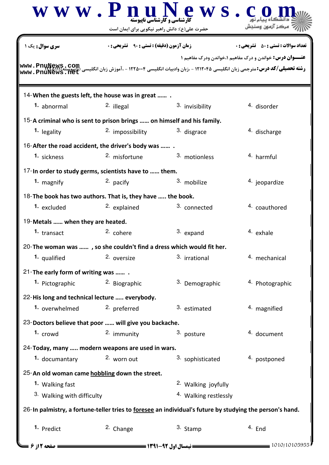|                                                                                                          | www.PnuN<br>حضرت علی(ع): دانش راهبر نیکویی برای ایمان است | ews.c<br><b>کارشناسی و کارشناسی ناپیوسته</b>                                                                 |                                                                                                                 |  |  |
|----------------------------------------------------------------------------------------------------------|-----------------------------------------------------------|--------------------------------------------------------------------------------------------------------------|-----------------------------------------------------------------------------------------------------------------|--|--|
| <b>سری سوال :</b> یک ۱<br>www.PnuNews.                                                                   | <b>زمان آزمون (دقیقه) : تستی : ۹۰ تشریحی : 0</b>          | <b>رشته تحصیلی/کد درس:</b> مترجمی زبان انگلیسی ۱۲۱۲۰۴۵ - ،زبان وادبیات انگلیسی ۱۲۲۵۰۰۴ - ،آموزش زبان انگلیسی | <b>تعداد سوالات : تستي : 50 ٪ تشريحي : 0</b><br><b>عنـــوان درس:</b> خواندن و درک مفاهیم ۱،خواندن ودرک مفاهیم ۱ |  |  |
| 14-When the guests left, the house was in great                                                          |                                                           |                                                                                                              |                                                                                                                 |  |  |
| 1. abnormal                                                                                              | 2. illegal                                                | 3. invisibility                                                                                              | 4. disorder                                                                                                     |  |  |
| 15-A criminal who is sent to prison brings  on himself and his family.                                   |                                                           |                                                                                                              |                                                                                                                 |  |  |
| <sup>1.</sup> legality                                                                                   | <sup>2.</sup> impossibility                               | 3. disgrace                                                                                                  | 4. discharge                                                                                                    |  |  |
| 16-After the road accident, the driver's body was                                                        |                                                           |                                                                                                              |                                                                                                                 |  |  |
| 1. sickness                                                                                              | <sup>2.</sup> misfortune                                  | 3. motionless                                                                                                | 4. harmful                                                                                                      |  |  |
| 17-In order to study germs, scientists have to  them.                                                    |                                                           |                                                                                                              |                                                                                                                 |  |  |
| 1. magnify                                                                                               | 2. pacify                                                 | 3. mobilize                                                                                                  | 4. jeopardize                                                                                                   |  |  |
| 18-The book has two authors. That is, they have  the book.                                               |                                                           |                                                                                                              |                                                                                                                 |  |  |
| 1. excluded                                                                                              | <sup>2.</sup> explained                                   | 3. connected                                                                                                 | <sup>4.</sup> coauthored                                                                                        |  |  |
| 19-Metals  when they are heated.                                                                         |                                                           |                                                                                                              |                                                                                                                 |  |  |
| 1. transact                                                                                              | 2. cohere                                                 | 3. expand                                                                                                    | 4. exhale                                                                                                       |  |  |
| 20-The woman was , so she couldn't find a dress which would fit her.                                     |                                                           |                                                                                                              |                                                                                                                 |  |  |
| 1. qualified                                                                                             | 2. oversize                                               | 3. irrational                                                                                                | 4. mechanical                                                                                                   |  |  |
| 21-The early form of writing was                                                                         |                                                           |                                                                                                              |                                                                                                                 |  |  |
| 1. Pictographic                                                                                          | 2. Biographic                                             | 3. Demographic                                                                                               | 4. Photographic                                                                                                 |  |  |
| 22-His long and technical lecture  everybody.                                                            |                                                           |                                                                                                              |                                                                                                                 |  |  |
| 1. overwhelmed                                                                                           | 2. preferred                                              | 3. estimated                                                                                                 | 4. magnified                                                                                                    |  |  |
| 23-Doctors believe that poor  will give you backache.                                                    |                                                           |                                                                                                              |                                                                                                                 |  |  |
| 1. crowd                                                                                                 | 2. immunity                                               | 3. posture                                                                                                   | 4. document                                                                                                     |  |  |
|                                                                                                          |                                                           |                                                                                                              |                                                                                                                 |  |  |
| 24-Today, many  modern weapons are used in wars.<br>1. documantary                                       | 2. worn out                                               | 3. sophisticated                                                                                             | 4. postponed                                                                                                    |  |  |
|                                                                                                          |                                                           |                                                                                                              |                                                                                                                 |  |  |
| 25-An old woman came hobbling down the street.                                                           |                                                           |                                                                                                              |                                                                                                                 |  |  |
| 1. Walking fast                                                                                          |                                                           | 2. Walking joyfully                                                                                          |                                                                                                                 |  |  |
| 3. Walking with difficulty<br><sup>4.</sup> Walking restlessly                                           |                                                           |                                                                                                              |                                                                                                                 |  |  |
| 26-In palmistry, a fortune-teller tries to foresee an individual's future by studying the person's hand. |                                                           |                                                                                                              |                                                                                                                 |  |  |
| 1. Predict                                                                                               | 2. Change                                                 | 3. Stamp                                                                                                     | 4. End                                                                                                          |  |  |
| صفحه 12ز 6                                                                                               |                                                           |                                                                                                              | $= 1010/10105955$                                                                                               |  |  |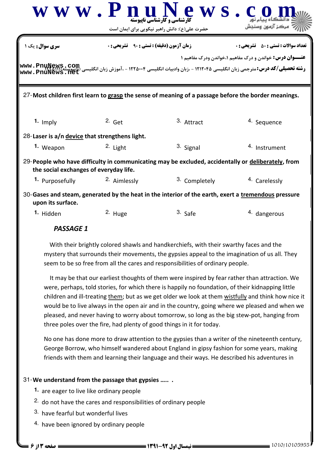|                                                                                                                                              | $\bf W \;\bf W \;\bf W$ ، $\bf P \;\bf n$ وارشناسی و کار شناسی ناپیوسته                             | lews<br>حضرت علی(ع): دانش راهبر نیکویی برای ایمان است | سڪز آزمون وسن                                                                                                                                                                                                                |  |  |
|----------------------------------------------------------------------------------------------------------------------------------------------|-----------------------------------------------------------------------------------------------------|-------------------------------------------------------|------------------------------------------------------------------------------------------------------------------------------------------------------------------------------------------------------------------------------|--|--|
| <b>سری سوال :</b> یک ۱                                                                                                                       |                                                                                                     | <b>زمان آزمون (دقیقه) : تستی : ۹۰</b>                 | <b>تعداد سوالات : تستي : 50 ٪ تشريحي : 0</b>                                                                                                                                                                                 |  |  |
|                                                                                                                                              |                                                                                                     |                                                       | <b>عنـــوان درس:</b> خواندن و درک مفاهیم ۱،خواندن ودرک مفاهیم ۱<br><b>www . PnuNews , COM و شته تحصیلی/کد درس: م</b> ترجمی زبان انگلیسی ۱۲۲۵۰۰۴ - ۱۲۴۵۰۰۴ - ،آموزش زبان انگلیسی (Uneut <b>Sanch)<br/>www . PnuNews ، Het</b> |  |  |
|                                                                                                                                              | 27-Most children first learn to grasp the sense of meaning of a passage before the border meanings. |                                                       |                                                                                                                                                                                                                              |  |  |
| 1. Imply                                                                                                                                     | $2.$ Get                                                                                            | 3. Attract                                            | 4. Sequence                                                                                                                                                                                                                  |  |  |
| 28-Laser is a/n device that strengthens light.                                                                                               |                                                                                                     |                                                       |                                                                                                                                                                                                                              |  |  |
| 1. Weapon                                                                                                                                    | 2. Light                                                                                            | 3. Signal                                             | <sup>4.</sup> Instrument                                                                                                                                                                                                     |  |  |
| 29-People who have difficulty in communicating may be excluded, accidentally or deliberately, from<br>the social exchanges of everyday life. |                                                                                                     |                                                       |                                                                                                                                                                                                                              |  |  |
| 1. Purposefully                                                                                                                              | <sup>2.</sup> Aimlessly                                                                             | 3. Completely                                         | <sup>4.</sup> Carelessly                                                                                                                                                                                                     |  |  |
| upon its surface.                                                                                                                            | 30-Gases and steam, generated by the heat in the interior of the earth, exert a tremendous pressure |                                                       |                                                                                                                                                                                                                              |  |  |
| 1. Hidden                                                                                                                                    | 2. Huge                                                                                             | 3. Safe                                               | <sup>4.</sup> dangerous                                                                                                                                                                                                      |  |  |
| <b>PASSAGE 1</b>                                                                                                                             |                                                                                                     |                                                       |                                                                                                                                                                                                                              |  |  |

 With their brightly colored shawls and handkerchiefs, with their swarthy faces and the mystery that surrounds their movements, the gypsies appeal to the imagination of us all. They seem to be so free from all the cares and responsibilities of ordinary people.

 It may be that our earliest thoughts of them were inspired by fear rather than attraction. We were, perhaps, told stories, for which there is happily no foundation, of their kidnapping little children and ill-treating them; but as we get older we look at them wistfully and think how nice it would be to live always in the open air and in the country, going where we pleased and when we pleased, and never having to worry about tomorrow, so long as the big stew-pot, hanging from three poles over the fire, had plenty of good things in it for today.

No one has done more to draw attention to the gypsies than a writer of the nineteenth century, George Borrow, who himself wandered about England in gipsy fashion for some years, making friends with them and learning their language and their ways. He described his adventures in

## 31-We understand from the passage that gypsies ......

- 1. are eager to live like ordinary people
- $2.$  do not have the cares and responsibilities of ordinary people
- 3. have fearful but wonderful lives
- 4. have been ignored by ordinary people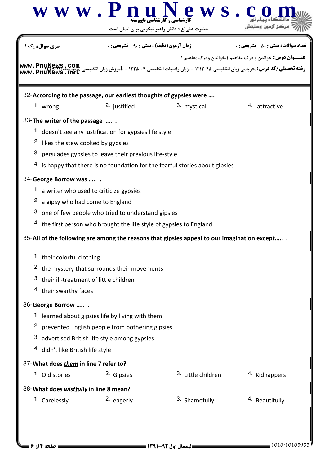|                                                                                                                                                                                                                                                                                                                                                                               | www.PnuN                                                                                                                                                                                                                                                                                                                                                                                                                                                                                          | <b>ews.</b><br><b>کارشناسی و کارشناسی ناییوسته</b><br>حضرت علی(ع): دانش راهبر نیکویی برای ایمان است                                                                          |                                                                                                                                                                                 |  |  |  |
|-------------------------------------------------------------------------------------------------------------------------------------------------------------------------------------------------------------------------------------------------------------------------------------------------------------------------------------------------------------------------------|---------------------------------------------------------------------------------------------------------------------------------------------------------------------------------------------------------------------------------------------------------------------------------------------------------------------------------------------------------------------------------------------------------------------------------------------------------------------------------------------------|------------------------------------------------------------------------------------------------------------------------------------------------------------------------------|---------------------------------------------------------------------------------------------------------------------------------------------------------------------------------|--|--|--|
| <b>سری سوال :</b> یک ۱                                                                                                                                                                                                                                                                                                                                                        |                                                                                                                                                                                                                                                                                                                                                                                                                                                                                                   | <b>زمان آزمون (دقیقه) : تستی : 90 ٪ تشریحی : 0</b>                                                                                                                           | <b>تعداد سوالات : تستي : 50 ٪ تشريحي : 0</b>                                                                                                                                    |  |  |  |
|                                                                                                                                                                                                                                                                                                                                                                               |                                                                                                                                                                                                                                                                                                                                                                                                                                                                                                   |                                                                                                                                                                              | <b>عنـــوان درس:</b> خواندن و درک مفاهیم ۱،خواندن ودرک مفاهیم ۱<br><b>رشته تحصیلی/کد درس:</b> مترجمی زبان انگلیسی ۱۲۱۲۰۴۵ - ،زبان وادبیات انگلیسی ۱۲۲۵۰۰۴ - ،آموزش زبان انگلیسی |  |  |  |
| 32-According to the passage, our earliest thoughts of gypsies were                                                                                                                                                                                                                                                                                                            |                                                                                                                                                                                                                                                                                                                                                                                                                                                                                                   |                                                                                                                                                                              |                                                                                                                                                                                 |  |  |  |
| $1.$ wrong                                                                                                                                                                                                                                                                                                                                                                    | <sup>2.</sup> justified                                                                                                                                                                                                                                                                                                                                                                                                                                                                           | 3. mystical                                                                                                                                                                  | 4. attractive                                                                                                                                                                   |  |  |  |
| 33-The writer of the passage<br><sup>2.</sup> likes the stew cooked by gypsies<br>34-George Borrow was<br>1. a writer who used to criticize gypsies<br>2. a gipsy who had come to England<br>1. their colorful clothing<br>3. their ill-treatment of little children<br><sup>4.</sup> their swarthy faces<br>36-George Borrow<br><sup>4.</sup> didn't like British life style | 1. doesn't see any justification for gypsies life style<br>3. persuades gypsies to leave their previous life-style<br>3. one of few people who tried to understand gipsies<br>4. the first person who brought the life style of gypsies to England<br><sup>2.</sup> the mystery that surrounds their movements<br><sup>1.</sup> learned about gipsies life by living with them<br><sup>2.</sup> prevented English people from bothering gipsies<br>3. advertised British life style among gypsies | 4. is happy that there is no foundation for the fearful stories about gipsies<br>35-All of the following are among the reasons that gipsies appeal to our imagination except |                                                                                                                                                                                 |  |  |  |
| 37-What does <i>them</i> in line 7 refer to?                                                                                                                                                                                                                                                                                                                                  |                                                                                                                                                                                                                                                                                                                                                                                                                                                                                                   |                                                                                                                                                                              |                                                                                                                                                                                 |  |  |  |
| 1. Old stories                                                                                                                                                                                                                                                                                                                                                                | 2. Gipsies                                                                                                                                                                                                                                                                                                                                                                                                                                                                                        | 3. Little children                                                                                                                                                           | 4. Kidnappers                                                                                                                                                                   |  |  |  |
| 38-What does wistfully in line 8 mean?                                                                                                                                                                                                                                                                                                                                        |                                                                                                                                                                                                                                                                                                                                                                                                                                                                                                   |                                                                                                                                                                              |                                                                                                                                                                                 |  |  |  |
| 1. Carelessly                                                                                                                                                                                                                                                                                                                                                                 | 2. eagerly                                                                                                                                                                                                                                                                                                                                                                                                                                                                                        | 3. Shamefully                                                                                                                                                                | <sup>4.</sup> Beautifully                                                                                                                                                       |  |  |  |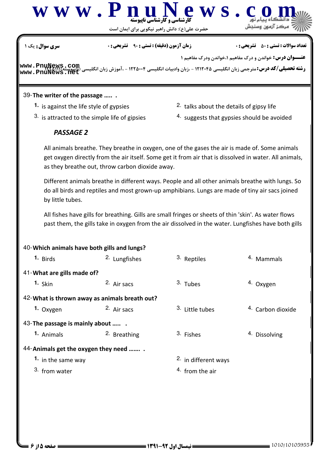

حضرت علي(ع): دانش راهبر نيكويي براي ايمان است

نعداد سوالات : تستي : ۵۰ تشريحي : . زمان آزمون (دقيقه) : تستي : ۹۰ تشريحي : . سري سوال : يک 1

**رشته تحصیلی/کد درس:** مترجمی زبان انگلیسی ۱۲۱۲۰۴۵ - ،زبان وادبیات انگلیسی ۱۲۲۵۰۰۴ - ،آموزش زبان انگ '22)'''(607) ,-**[www.PnuNews.com](http://pnunews.com) [www.PnuNews.net](http://pnunews.net)**

## 39-The writer of the passage ......

- **1.** is against the life style of gypsies
- 3. is attracted to the simple life of gipsies
- 2. talks about the details of gipsy life
- 4. suggests that gypsies should be avoided

**عنـــوان درس:** خواندن و درک مفاهیم ۱،خواندن ودرک مفاهیم ۱

## PASSAGE 2

All animals breathe. They breathe in oxygen, one of the gases the air is made of. Some animals get oxygen directly from the air itself. Some get it from air that is dissolved in water. All animals, as they breathe out, throw carbon dioxide away.

Different animals breathe in different ways. People and all other animals breathe with lungs. So do all birds and reptiles and most grown-up amphibians. Lungs are made of tiny air sacs joined by little tubes.

All fishes have gills for breathing. Gills are small fringes or sheets of thin 'skin'. As water flows past them, the gills take in oxygen from the air dissolved in the water. Lungfishes have both gills

| 40-Which animals have both gills and lungs? |                                               |                                 |                             |  |  |  |  |  |
|---------------------------------------------|-----------------------------------------------|---------------------------------|-----------------------------|--|--|--|--|--|
| 1. Birds                                    | 2. Lungfishes                                 | 3. Reptiles                     | 4. Mammals                  |  |  |  |  |  |
| 41-What are gills made of?                  |                                               |                                 |                             |  |  |  |  |  |
| $1.$ Skin                                   | 2. Air sacs                                   | 3. Tubes                        | <sup>4.</sup> Oxygen        |  |  |  |  |  |
|                                             | 42-What is thrown away as animals breath out? |                                 |                             |  |  |  |  |  |
| 1. Oxygen                                   | 2. Air sacs                                   | <sup>3.</sup> Little tubes      | <sup>4</sup> Carbon dioxide |  |  |  |  |  |
| 43-The passage is mainly about              |                                               |                                 |                             |  |  |  |  |  |
| 1. Animals                                  | 2. Breathing                                  | 3. Fishes                       | 4. Dissolving               |  |  |  |  |  |
| 44-Animals get the oxygen they need         |                                               |                                 |                             |  |  |  |  |  |
| 1. in the same way                          |                                               | <sup>2.</sup> in different ways |                             |  |  |  |  |  |
| 3. from water                               |                                               | $4.$ from the air               |                             |  |  |  |  |  |
|                                             |                                               |                                 |                             |  |  |  |  |  |